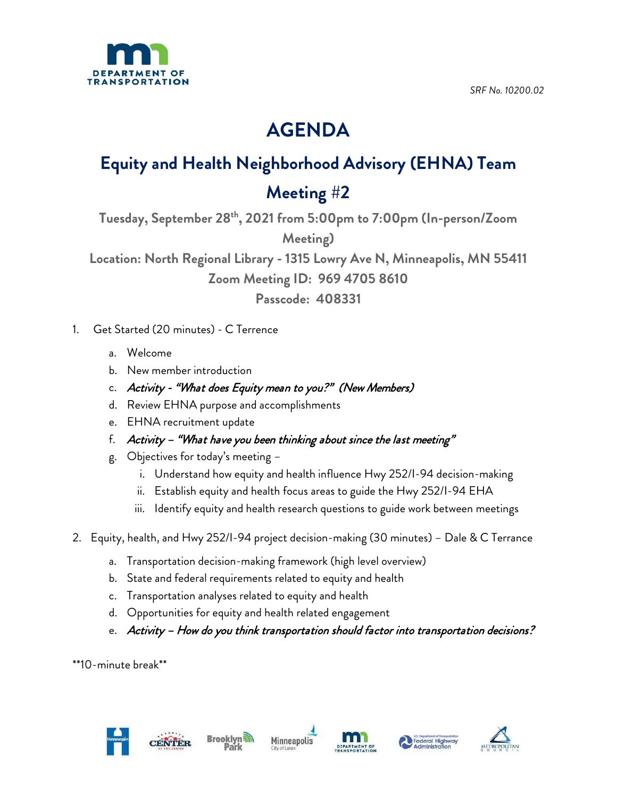

*SRF No. 10200.02*

## **AGENDA**

## **Equity and Health Neighborhood Advisory (EHNA) Team**

## **Meeting #2**

**Tuesday, September 28th , 2021 from 5:00pm to 7:00pm (In-person/Zoom Meeting)**

**Location: North Regional Library - 1315 Lowry Ave N, Minneapolis, MN 55411**

**Zoom Meeting ID: 969 4705 8610**

**Passcode: 408331**

- 1. Get Started (20 minutes) C Terrence
	- a. Welcome
	- b. New member introduction
	- c. Activity "What does Equity mean to you?" (New Members)
	- d. Review EHNA purpose and accomplishments
	- e. EHNA recruitment update
	- f. Activity "What have you been thinking about since the last meeting"
	- g. Objectives for today's meeting
		- i. Understand how equity and health influence Hwy 252/I-94 decision-making
		- ii. Establish equity and health focus areas to guide the Hwy 252/I-94 EHA
		- iii. Identify equity and health research questions to guide work between meetings
- 2. Equity, health, and Hwy 252/I-94 project decision-making (30 minutes) Dale & C Terrance
	- a. Transportation decision-making framework (high level overview)
	- b. State and federal requirements related to equity and health
	- c. Transportation analyses related to equity and health
	- d. Opportunities for equity and health related engagement
	- e. Activity How do you think transportation should factor into transportation decisions?

\*\*10-minute break\*\*